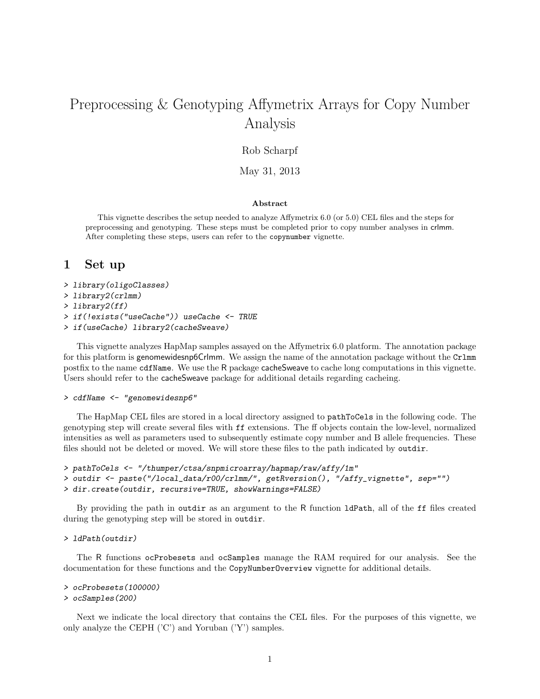# Preprocessing & Genotyping Affymetrix Arrays for Copy Number Analysis

### Rob Scharpf

May 31, 2013

### Abstract

This vignette describes the setup needed to analyze Affymetrix 6.0 (or 5.0) CEL files and the steps for preprocessing and genotyping. These steps must be completed prior to copy number analyses in crlmm. After completing these steps, users can refer to the copynumber vignette.

### 1 Set up

- > library(oligoClasses)
- > library2(crlmm)
- > library2(ff)
- > if(!exists("useCache")) useCache <- TRUE
- > if(useCache) library2(cacheSweave)

This vignette analyzes HapMap samples assayed on the Affymetrix 6.0 platform. The annotation package for this platform is genomewidesnp6Crlmm. We assign the name of the annotation package without the Crlmm postfix to the name cdfName. We use the R package cacheSweave to cache long computations in this vignette. Users should refer to the cacheSweave package for additional details regarding cacheing.

> cdfName <- "genomewidesnp6"

The HapMap CEL files are stored in a local directory assigned to pathToCels in the following code. The genotyping step will create several files with ff extensions. The ff objects contain the low-level, normalized intensities as well as parameters used to subsequently estimate copy number and B allele frequencies. These files should not be deleted or moved. We will store these files to the path indicated by outdir.

```
> pathToCels <- "/thumper/ctsa/snpmicroarray/hapmap/raw/affy/1m"
> outdir <- paste("/local_data/r00/crlmm/", getRversion(), "/affy_vignette", sep="")
> dir.create(outdir, recursive=TRUE, showWarnings=FALSE)
```
By providing the path in outdir as an argument to the R function ldPath, all of the ff files created during the genotyping step will be stored in outdir.

#### > ldPath(outdir)

The R functions ocProbesets and ocSamples manage the RAM required for our analysis. See the documentation for these functions and the CopyNumberOverview vignette for additional details.

```
> ocProbesets(100000)
```

```
> ocSamples(200)
```
Next we indicate the local directory that contains the CEL files. For the purposes of this vignette, we only analyze the CEPH ('C') and Yoruban ('Y') samples.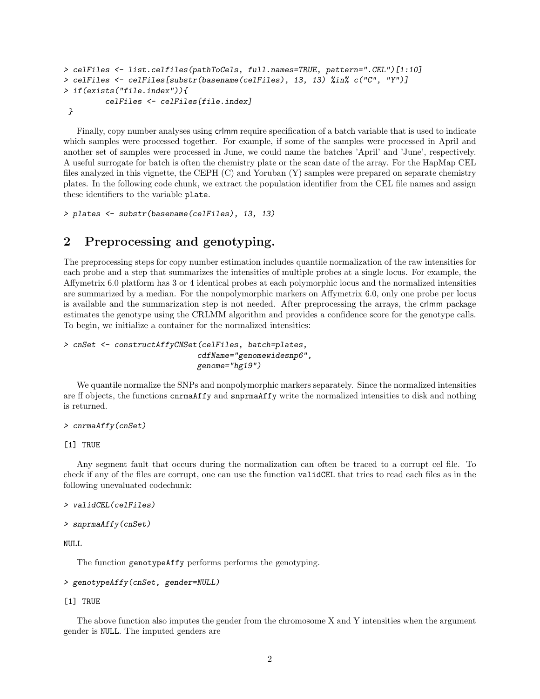```
> celFiles <- list.celfiles(pathToCels, full.names=TRUE, pattern=".CEL")[1:10]
> celFiles <- celFiles[substr(basename(celFiles), 13, 13) %in% c("C", "Y")]
> if(exists("file.index")){
         celFiles <- celFiles[file.index]
 }
```
Finally, copy number analyses using crlmm require specification of a batch variable that is used to indicate which samples were processed together. For example, if some of the samples were processed in April and another set of samples were processed in June, we could name the batches 'April' and 'June', respectively. A useful surrogate for batch is often the chemistry plate or the scan date of the array. For the HapMap CEL files analyzed in this vignette, the CEPH (C) and Yoruban (Y) samples were prepared on separate chemistry plates. In the following code chunk, we extract the population identifier from the CEL file names and assign these identifiers to the variable plate.

```
> plates <- substr(basename(celFiles), 13, 13)
```
### 2 Preprocessing and genotyping.

The preprocessing steps for copy number estimation includes quantile normalization of the raw intensities for each probe and a step that summarizes the intensities of multiple probes at a single locus. For example, the Affymetrix 6.0 platform has 3 or 4 identical probes at each polymorphic locus and the normalized intensities are summarized by a median. For the nonpolymorphic markers on Affymetrix 6.0, only one probe per locus is available and the summarization step is not needed. After preprocessing the arrays, the crlmm package estimates the genotype using the CRLMM algorithm and provides a confidence score for the genotype calls. To begin, we initialize a container for the normalized intensities:

```
> cnSet <- constructAffyCNSet(celFiles, batch=plates,
                             cdfName="genomewidesnp6",
                             genome="hg19")
```
We quantile normalize the SNPs and nonpolymorphic markers separately. Since the normalized intensities are ff objects, the functions cnrmaAffy and snprmaAffy write the normalized intensities to disk and nothing is returned.

```
> cnrmaAffy(cnSet)
```
#### [1] TRUE

Any segment fault that occurs during the normalization can often be traced to a corrupt cel file. To check if any of the files are corrupt, one can use the function validCEL that tries to read each files as in the following unevaluated codechunk:

```
> validCEL(celFiles)
```

```
> snprmaAffy(cnSet)
```
NULL

The function genotypeAffy performs performs the genotyping.

#### > genotypeAffy(cnSet, gender=NULL)

#### [1] TRUE

The above function also imputes the gender from the chromosome X and Y intensities when the argument gender is NULL. The imputed genders are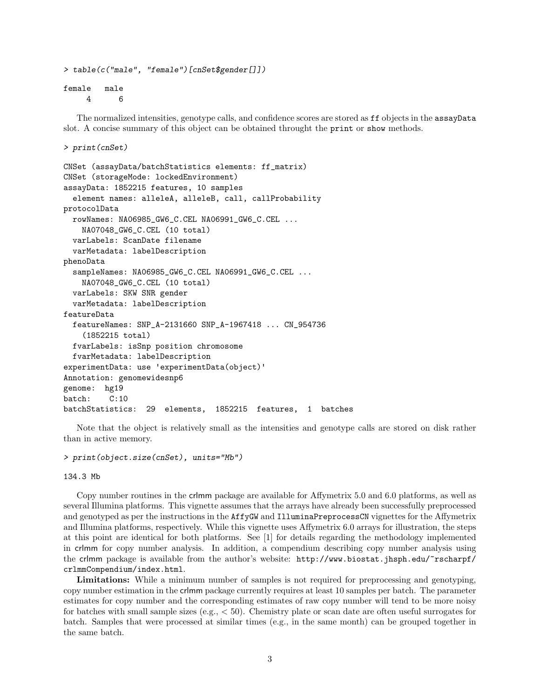```
> table(c("male", "female")[cnSet$gender[]])
```
female male 4 6

The normalized intensities, genotype calls, and confidence scores are stored as ff objects in the assayData slot. A concise summary of this object can be obtained throught the print or show methods.

```
> print(cnSet)
```

```
CNSet (assayData/batchStatistics elements: ff_matrix)
CNSet (storageMode: lockedEnvironment)
assayData: 1852215 features, 10 samples
  element names: alleleA, alleleB, call, callProbability
protocolData
  rowNames: NA06985_GW6_C.CEL NA06991_GW6_C.CEL ...
   NA07048_GW6_C.CEL (10 total)
  varLabels: ScanDate filename
  varMetadata: labelDescription
phenoData
  sampleNames: NA06985_GW6_C.CEL NA06991_GW6_C.CEL ...
   NA07048_GW6_C.CEL (10 total)
  varLabels: SKW SNR gender
  varMetadata: labelDescription
featureData
  featureNames: SNP_A-2131660 SNP_A-1967418 ... CN_954736
    (1852215 total)
  fvarLabels: isSnp position chromosome
  fvarMetadata: labelDescription
experimentData: use 'experimentData(object)'
Annotation: genomewidesnp6
genome: hg19
batch: C:10
batchStatistics: 29 elements, 1852215 features, 1 batches
```
Note that the object is relatively small as the intensities and genotype calls are stored on disk rather than in active memory.

```
> print(object.size(cnSet), units="Mb")
```
134.3 Mb

Copy number routines in the crlmm package are available for Affymetrix 5.0 and 6.0 platforms, as well as several Illumina platforms. This vignette assumes that the arrays have already been successfully preprocessed and genotyped as per the instructions in the **AffyGW** and **IlluminaPreprocessCN** vignettes for the Affymetrix and Illumina platforms, respectively. While this vignette uses Affymetrix 6.0 arrays for illustration, the steps at this point are identical for both platforms. See [1] for details regarding the methodology implemented in crlmm for copy number analysis. In addition, a compendium describing copy number analysis using the crlmm package is available from the author's website: http://www.biostat.jhsph.edu/~rscharpf/ crlmmCompendium/index.html.

Limitations: While a minimum number of samples is not required for preprocessing and genotyping, copy number estimation in the crlmm package currently requires at least 10 samples per batch. The parameter estimates for copy number and the corresponding estimates of raw copy number will tend to be more noisy for batches with small sample sizes (e.g., < 50). Chemistry plate or scan date are often useful surrogates for batch. Samples that were processed at similar times (e.g., in the same month) can be grouped together in the same batch.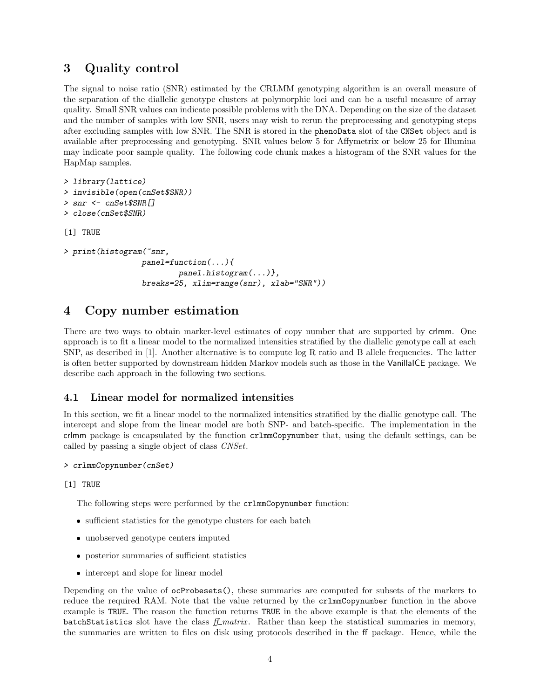## 3 Quality control

The signal to noise ratio (SNR) estimated by the CRLMM genotyping algorithm is an overall measure of the separation of the diallelic genotype clusters at polymorphic loci and can be a useful measure of array quality. Small SNR values can indicate possible problems with the DNA. Depending on the size of the dataset and the number of samples with low SNR, users may wish to rerun the preprocessing and genotyping steps after excluding samples with low SNR. The SNR is stored in the phenoData slot of the CNSet object and is available after preprocessing and genotyping. SNR values below 5 for Affymetrix or below 25 for Illumina may indicate poor sample quality. The following code chunk makes a histogram of the SNR values for the HapMap samples.

```
> library(lattice)
> invisible(open(cnSet$SNR))
> snr <- cnSet$SNR[]
> close(cnSet$SNR)
[1] TRUE
> print(histogram(~snr,
                 panel=function(...){
                         panel.histogram(...)},
                 breaks=25, xlim=range(snr), xlab="SNR"))
```
# 4 Copy number estimation

There are two ways to obtain marker-level estimates of copy number that are supported by crlmm. One approach is to fit a linear model to the normalized intensities stratified by the diallelic genotype call at each SNP, as described in [1]. Another alternative is to compute log R ratio and B allele frequencies. The latter is often better supported by downstream hidden Markov models such as those in the VanillaICE package. We describe each approach in the following two sections.

### 4.1 Linear model for normalized intensities

In this section, we fit a linear model to the normalized intensities stratified by the diallic genotype call. The intercept and slope from the linear model are both SNP- and batch-specific. The implementation in the crlmm package is encapsulated by the function crlmmCopynumber that, using the default settings, can be called by passing a single object of class CNSet.

```
> crlmmCopynumber(cnSet)
```
### [1] TRUE

The following steps were performed by the crlmmCopynumber function:

- sufficient statistics for the genotype clusters for each batch
- unobserved genotype centers imputed
- posterior summaries of sufficient statistics
- intercept and slope for linear model

Depending on the value of ocProbesets(), these summaries are computed for subsets of the markers to reduce the required RAM. Note that the value returned by the crlmmCopynumber function in the above example is TRUE. The reason the function returns TRUE in the above example is that the elements of the batchStatistics slot have the class  $f_{\perp}$  matrix. Rather than keep the statistical summaries in memory, the summaries are written to files on disk using protocols described in the ff package. Hence, while the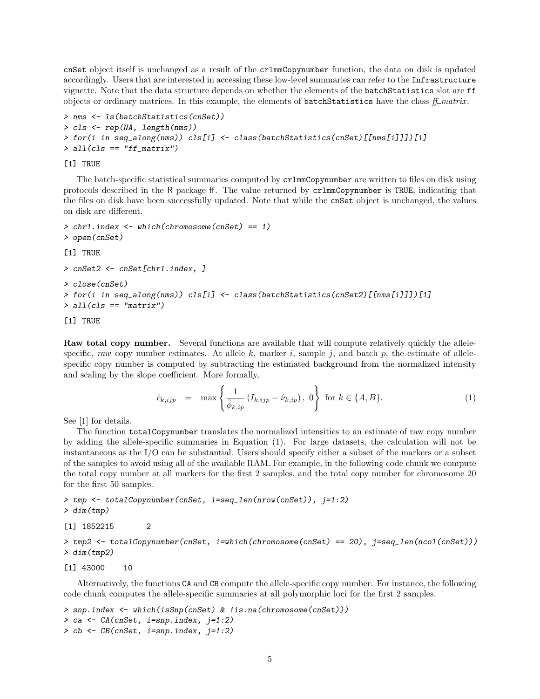cnSet object itself is unchanged as a result of the crlmmCopynumber function, the data on disk is updated accordingly. Users that are interested in accessing these low-level summaries can refer to the Infrastructure vignette. Note that the data structure depends on whether the elements of the batchStatistics slot are ff objects or ordinary matrices. In this example, the elements of batchStatistics have the class  $ff\_matrix$ .

```
> nms <- ls(batchStatistics(cnSet))
> cls <- rep(NA, length(nms))
> for(i in seq_along(nms)) cls[i] <- class(batchStatistics(cnSet)[[nms[i]]])[1]
> all(cls == "ff_matrix")
```
### [1] TRUE

The batch-specific statistical summaries computed by crlmmCopynumber are written to files on disk using protocols described in the R package ff. The value returned by crlmmCopynumber is TRUE, indicating that the files on disk have been successfully updated. Note that while the cnSet object is unchanged, the values on disk are different.

```
> chr1.index <- which(chromosome(cnSet) == 1)
> open(cnSet)
[1] TRUE
> cnSet2 <- cnSet[chr1.index, ]
> close(cnSet)
> for(i in seq_along(nms)) cls[i] <- class(batchStatistics(cnSet2)[[nms[i]]])[1]
> all(cls == "matrix")
```
[1] TRUE

Raw total copy number. Several functions are available that will compute relatively quickly the allelespecific, raw copy number estimates. At allele k, marker i, sample j, and batch p, the estimate of allelespecific copy number is computed by subtracting the estimated background from the normalized intensity and scaling by the slope coefficient. More formally,

$$
\hat{c}_{k,ijp} = \max \left\{ \frac{1}{\hat{\phi}_{k,ip}} \left( I_{k,ijp} - \hat{\nu}_{k,ip} \right), \ 0 \right\} \text{ for } k \in \{A, B\}. \tag{1}
$$

See [1] for details.

The function totalCopynumber translates the normalized intensities to an estimate of raw copy number by adding the allele-specific summaries in Equation (1). For large datasets, the calculation will not be instantaneous as the I/O can be substantial. Users should specify either a subset of the markers or a subset of the samples to avoid using all of the available RAM. For example, in the following code chunk we compute the total copy number at all markers for the first 2 samples, and the total copy number for chromosome 20 for the first 50 samples.

```
> tmp <- totalCopynumber(cnSet, i=seq_len(nrow(cnSet)), j=1:2)
> dim(tmp)
```
[1] 1852215 2

> tmp2 <- totalCopynumber(cnSet, i=which(chromosome(cnSet) == 20), j=seq\_len(ncol(cnSet))) > dim(tmp2)

[1] 43000 10

Alternatively, the functions CA and CB compute the allele-specific copy number. For instance, the following code chunk computes the allele-specific summaries at all polymorphic loci for the first 2 samples.

```
> snp.index <- which(isSnp(cnSet) & !is.na(chromosome(cnSet)))
> ca <- CA(cnSet, i=snp.index, j=1:2)
> cb <- CB(cnSet, i=snp.index, j=1:2)
```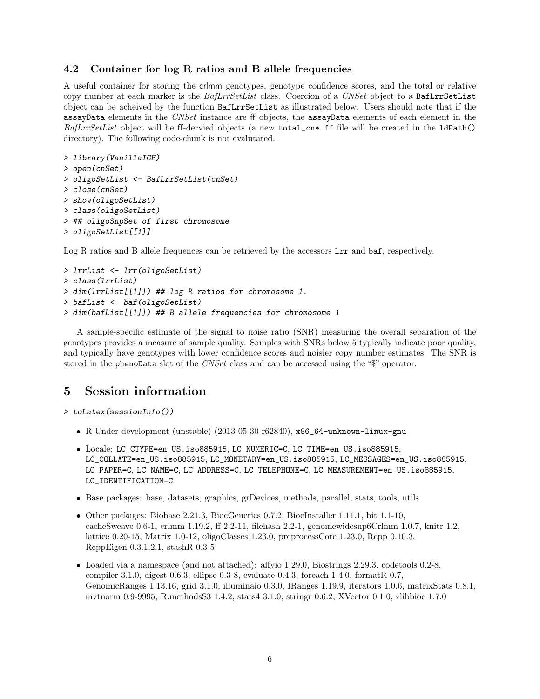### 4.2 Container for log R ratios and B allele frequencies

A useful container for storing the crlmm genotypes, genotype confidence scores, and the total or relative copy number at each marker is the BafLrrSetList class. Coercion of a CNSet object to a BafLrrSetList object can be acheived by the function BafLrrSetList as illustrated below. Users should note that if the assayData elements in the CNSet instance are ff objects, the assayData elements of each element in the  $BafLrrSetList$  object will be ff-dervied objects (a new total\_cn\*.ff file will be created in the ldPath() directory). The following code-chunk is not evalutated.

```
> library(VanillaICE)
> open(cnSet)
> oligoSetList <- BafLrrSetList(cnSet)
> close(cnSet)
> show(oligoSetList)
> class(oligoSetList)
> ## oligoSnpSet of first chromosome
> oligoSetList[[1]]
```
Log R ratios and B allele frequences can be retrieved by the accessors  $\text{Irr}$  and  $\text{baf}$ , respectively.

```
> lrrList <- lrr(oligoSetList)
> class(lrrList)
> dim(lrrList[[1]]) ## log R ratios for chromosome 1.
> bafList <- baf(oligoSetList)
> dim(bafList[[1]]) ## B allele frequencies for chromosome 1
```
A sample-specific estimate of the signal to noise ratio (SNR) measuring the overall separation of the genotypes provides a measure of sample quality. Samples with SNRs below 5 typically indicate poor quality, and typically have genotypes with lower confidence scores and noisier copy number estimates. The SNR is stored in the phenoData slot of the CNSet class and can be accessed using the "\$" operator.

### 5 Session information

```
> toLatex(sessionInfo())
```
- R Under development (unstable) (2013-05-30 r62840), x86\_64-unknown-linux-gnu
- Locale: LC\_CTYPE=en\_US.iso885915, LC\_NUMERIC=C, LC\_TIME=en\_US.iso885915, LC\_COLLATE=en\_US.iso885915, LC\_MONETARY=en\_US.iso885915, LC\_MESSAGES=en\_US.iso885915, LC\_PAPER=C, LC\_NAME=C, LC\_ADDRESS=C, LC\_TELEPHONE=C, LC\_MEASUREMENT=en\_US.iso885915, LC\_IDENTIFICATION=C
- Base packages: base, datasets, graphics, grDevices, methods, parallel, stats, tools, utils
- Other packages: Biobase 2.21.3, BiocGenerics 0.7.2, BiocInstaller 1.11.1, bit 1.1-10, cacheSweave 0.6-1, crlmm 1.19.2, ff 2.2-11, filehash 2.2-1, genomewidesnp6Crlmm 1.0.7, knitr 1.2, lattice 0.20-15, Matrix 1.0-12, oligoClasses 1.23.0, preprocessCore 1.23.0, Rcpp 0.10.3, RcppEigen 0.3.1.2.1, stashR 0.3-5
- Loaded via a namespace (and not attached): affyio 1.29.0, Biostrings 2.29.3, codetools 0.2-8, compiler 3.1.0, digest 0.6.3, ellipse 0.3-8, evaluate 0.4.3, foreach 1.4.0, formatR 0.7, GenomicRanges 1.13.16, grid 3.1.0, illuminaio 0.3.0, IRanges 1.19.9, iterators 1.0.6, matrixStats 0.8.1, mvtnorm 0.9-9995, R.methodsS3 1.4.2, stats4 3.1.0, stringr 0.6.2, XVector 0.1.0, zlibbioc 1.7.0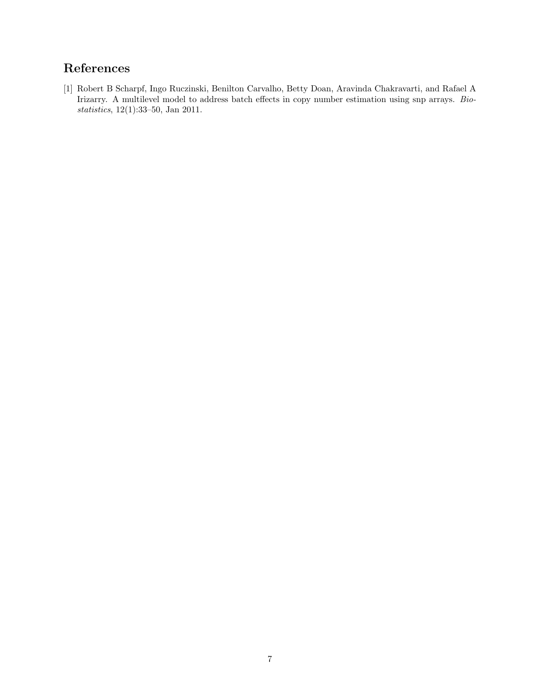# References

[1] Robert B Scharpf, Ingo Ruczinski, Benilton Carvalho, Betty Doan, Aravinda Chakravarti, and Rafael A Irizarry. A multilevel model to address batch effects in copy number estimation using snp arrays. Biostatistics, 12(1):33–50, Jan 2011.